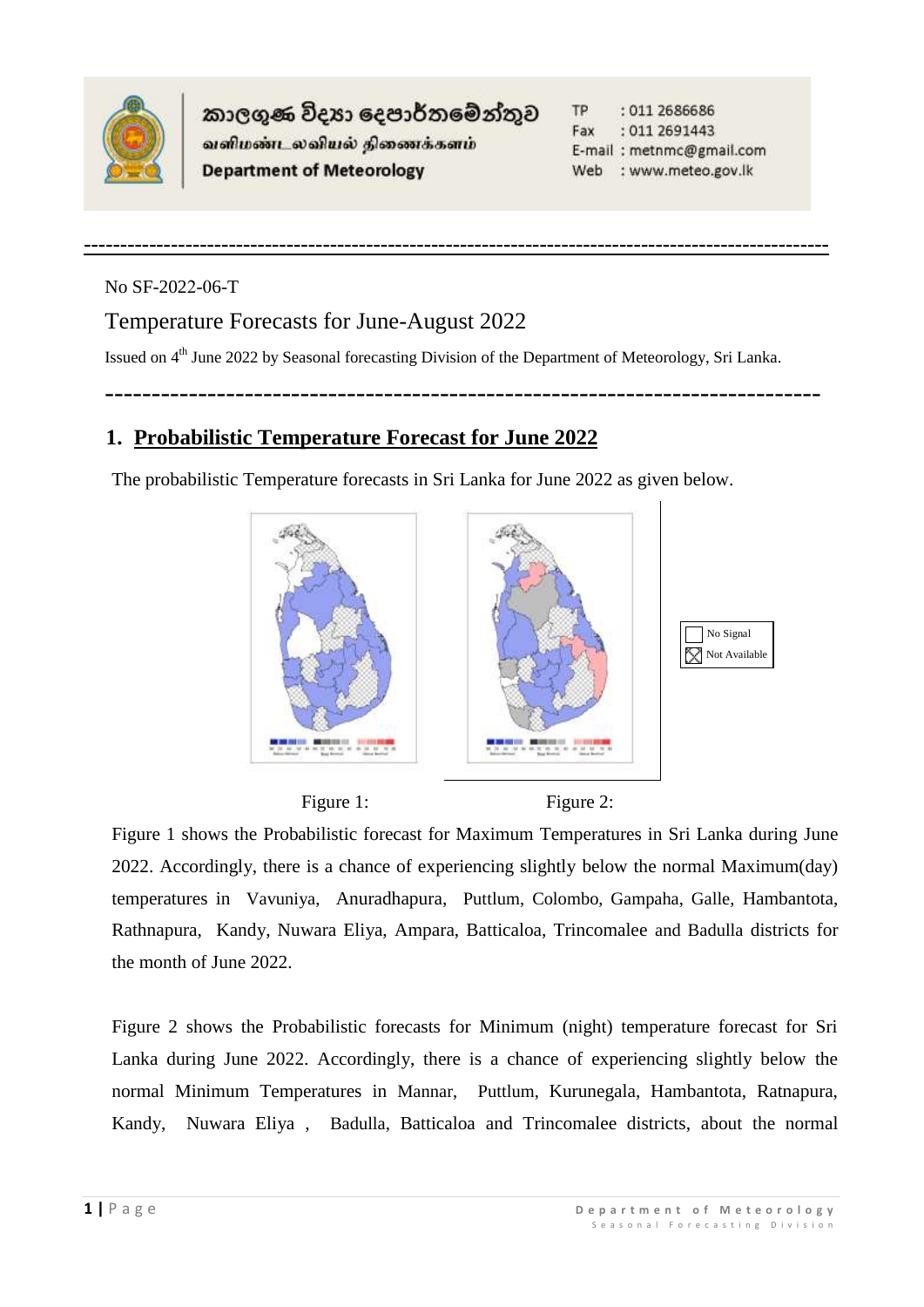

කාලගුණ විදූහා දෙපාර්තමේන්තුව வளிமண்டலவியல் திணைக்களம் **Department of Meteorology** 

**TP** : 011 2686686 Fax : 011 269 1443 E-mail: metnmc@gmail.com Web : www.meteo.gov.lk

No SF-2022-06-T

## Temperature Forecasts for June-August 2022

Issued on 4<sup>th</sup> June 2022 by Seasonal forecasting Division of the Department of Meteorology, Sri Lanka.

-----------------------------------------------------------------------------

**-------------------------------------------------------------------------------------------------------**

## **1. Probabilistic Temperature Forecast for June 2022**

The probabilistic Temperature forecasts in Sri Lanka for June 2022 as given below.



Figure 1: Figure 2:

Figure 1 shows the Probabilistic forecast for Maximum Temperatures in Sri Lanka during June 2022. Accordingly, there is a chance of experiencing slightly below the normal Maximum(day) temperatures in Vavuniya, Anuradhapura, Puttlum, Colombo, Gampaha, Galle, Hambantota, Rathnapura, Kandy, Nuwara Eliya, Ampara, Batticaloa, Trincomalee and Badulla districts for the month of June 2022.

Figure 2 shows the Probabilistic forecasts for Minimum (night) temperature forecast for Sri Lanka during June 2022. Accordingly, there is a chance of experiencing slightly below the normal Minimum Temperatures in Mannar, Puttlum, Kurunegala, Hambantota, Ratnapura, Kandy, Nuwara Eliya , Badulla, Batticaloa and Trincomalee districts, about the normal

No Signal